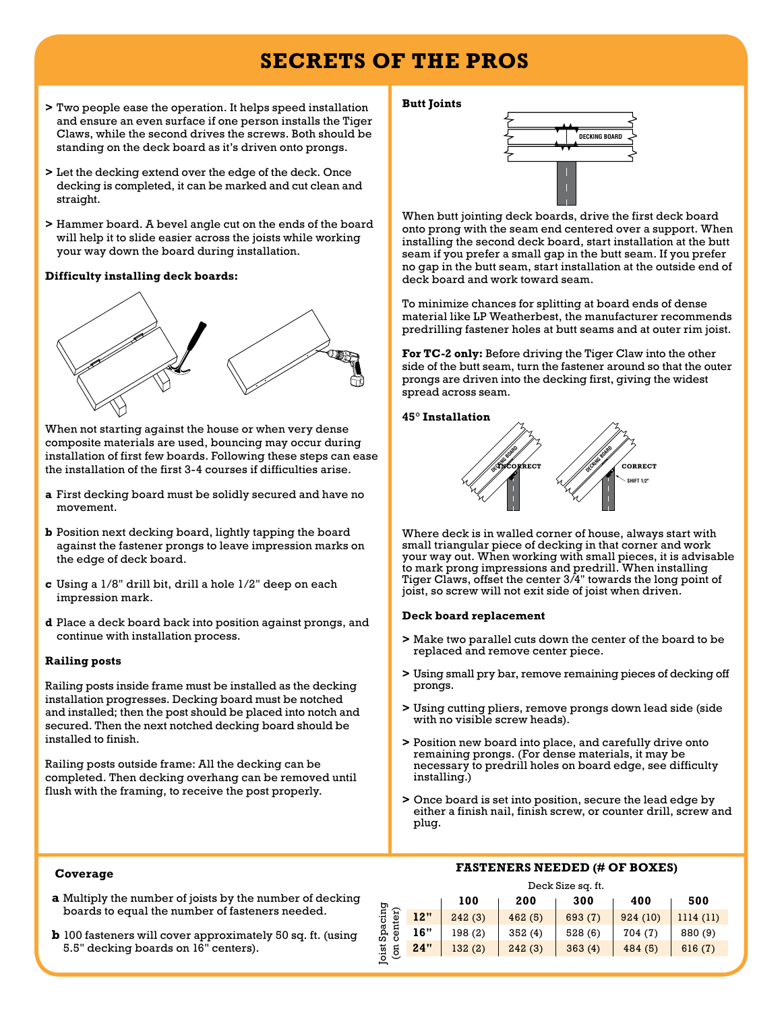## **Secrets of the Pros**

- **>** Two people ease the operation. It helps speed installation and ensure an even surface if one person installs the Tiger Claws, while the second drives the screws. Both should be standing on the deck board as it's driven onto prongs.
- **>** Let the decking extend over the edge of the deck. Once decking is completed, it can be marked and cut clean and straight.
- **>** Hammer board. A bevel angle cut on the ends of the board will help it to slide easier across the joists while working your way down the board during installation.

#### **Difficulty installing deck boards:**



When not starting against the house or when very dense composite materials are used, bouncing may occur during installation of first few boards. Following these steps can ease the installation of the first 3-4 courses if difficulties arise.

- **a** First decking board must be solidly secured and have no movement.
- **b** Position next decking board, lightly tapping the board against the fastener prongs to leave impression marks on the edge of deck board.
- **c** Using a 1/8" drill bit, drill a hole 1/2" deep on each impression mark.
- **d** Place a deck board back into position against prongs, and continue with installation process.

#### **Railing posts**

Railing posts inside frame must be installed as the decking installation progresses. Decking board must be notched and installed; then the post should be placed into notch and secured. Then the next notched decking board should be installed to finish.

Railing posts outside frame: All the decking can be completed. Then decking overhang can be removed until flush with the framing, to receive the post properly.

#### **Butt Joints**



When butt jointing deck boards, drive the first deck board onto prong with the seam end centered over a support. When installing the second deck board, start installation at the butt seam if you prefer a small gap in the butt seam. If you prefer no gap in the butt seam, start installation at the outside end of deck board and work toward seam.

To minimize chances for splitting at board ends of dense material like LP Weatherbest, the manufacturer recommends predrilling fastener holes at butt seams and at outer rim joist.

**For TC-2 only:** Before driving the Tiger Claw into the other side of the butt seam, turn the fastener around so that the outer prongs are driven into the decking first, giving the widest spread across seam.

#### **45° Installation**



Where deck is in walled corner of house, always start with small triangular piece of decking in that corner and work your way out. When working with small pieces, it is advisable to mark prong impressions and predrill. When installing Tiger Claws, offset the center 3/4" towards the long point of joist, so screw will not exit side of joist when driven.

#### **Deck board replacement**

Joist Spacing

oist Spacing

- **>** Make two parallel cuts down the center of the board to be replaced and remove center piece.
- **>** Using small pry bar, remove remaining pieces of decking off prongs.
- **>** Using cutting pliers, remove prongs down lead side (side with no visible screw heads).
- **>** Position new board into place, and carefully drive onto remaining prongs. (For dense materials, it may be necessary to predrill holes on board edge, see difficulty installing.)
- **>** Once board is set into position, secure the lead edge by either a finish nail, finish screw, or counter drill, screw and plug.

#### **Coverage**

- **a** Multiply the number of joists by the number of decking boards to equal the number of fasteners needed.
- **b** 100 fasteners will cover approximately 50 sq. ft. (using 5.5" decking boards on 16" centers).

#### **FASTENERS NEEDED (# OF BOXES)**

Deck Size sq. ft.

|                        |     | 100    | 200    | 300     | 400     | 500      |
|------------------------|-----|--------|--------|---------|---------|----------|
| ter)<br>$\overline{5}$ | 12" | 242(3) | 462(5) | 693 (7) | 924(10) | 1114(11) |
|                        | 16" | 198(2) | 352(4) | 528(6)  | 704(7)  | 880 (9)  |
|                        | 24" | 132(2) | 242(3) | 363(4)  | 484(5)  | 616(7)   |
|                        |     |        |        |         |         |          |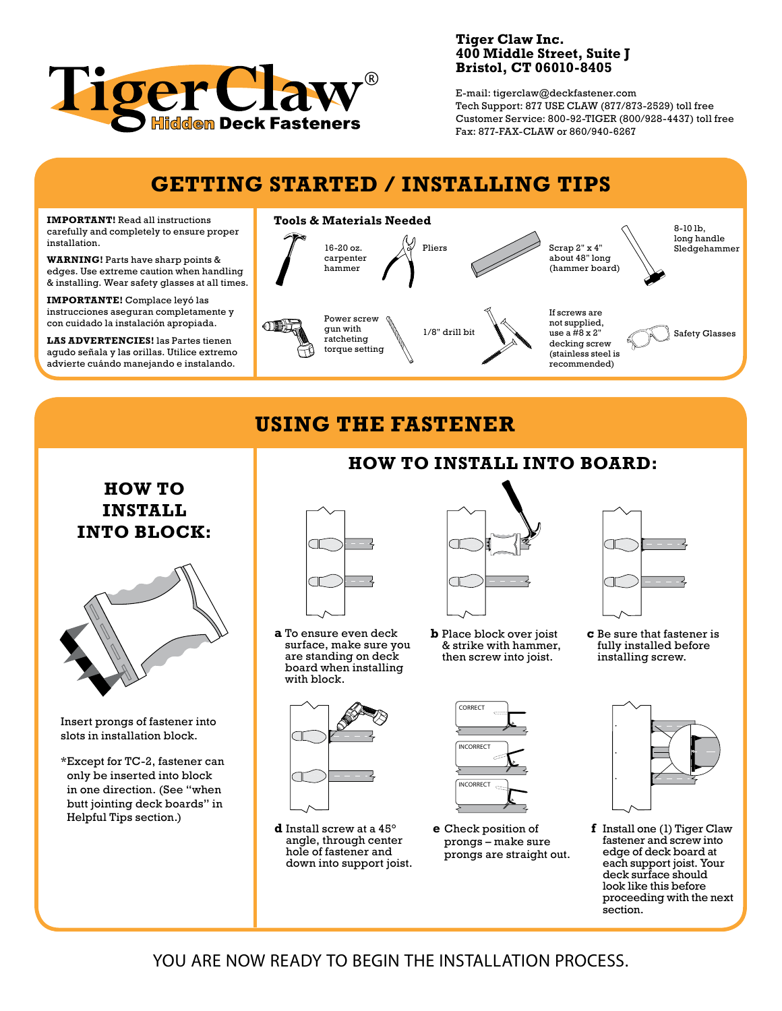

#### **Tiger Claw Inc. 400 Middle Street, Suite J Bristol, CT 06010-8405**

E-mail: tigerclaw@deckfastener.com Tech Support: 877 USE CLAW (877/873-2529) toll free Customer Service: 800-92-TIGER (800/928-4437) toll free Fax: 877-FAX-CLAW or 860/940-6267

## **Getting Started / installing tips**

**IMPORTANT!** Read all instructions carefully and completely to ensure proper installation.

**WARNING!** Parts have sharp points & edges. Use extreme caution when handling & installing. Wear safety glasses at all times.

**Importante!** Complace leyó las instrucciones aseguran completamente y con cuidado la instalación apropiada.

**Las advertencies!** las Partes tienen agudo señala y las orillas. Utilice extremo advierte cuándo manejando e instalando.



# **Using the Fastener**

### **HOW TO INSTALL INTO BLOCK:**



Insert prongs of fastener into slots in installation block.

\*Except for TC-2, fastener can only be inserted into block in one direction. (See "when butt jointing deck boards" in Helpful Tips section.)



**a** To ensure even deck surface, make sure you are standing on deck board when installing with block.



**How to install into board:**

**b** Place block over joist & strike with hammer, then screw into joist.



**c** Be sure that fastener is fully installed before installing screw.



**d** Install screw at a 45° angle, through center hole of fastener and down into support joist.



**e** Check position of prongs – make sure prongs are straight out.



**f** Install one (1) Tiger Claw fastener and screw into edge of deck board at each support joist. Your deck surface should look like this before proceeding with the next section.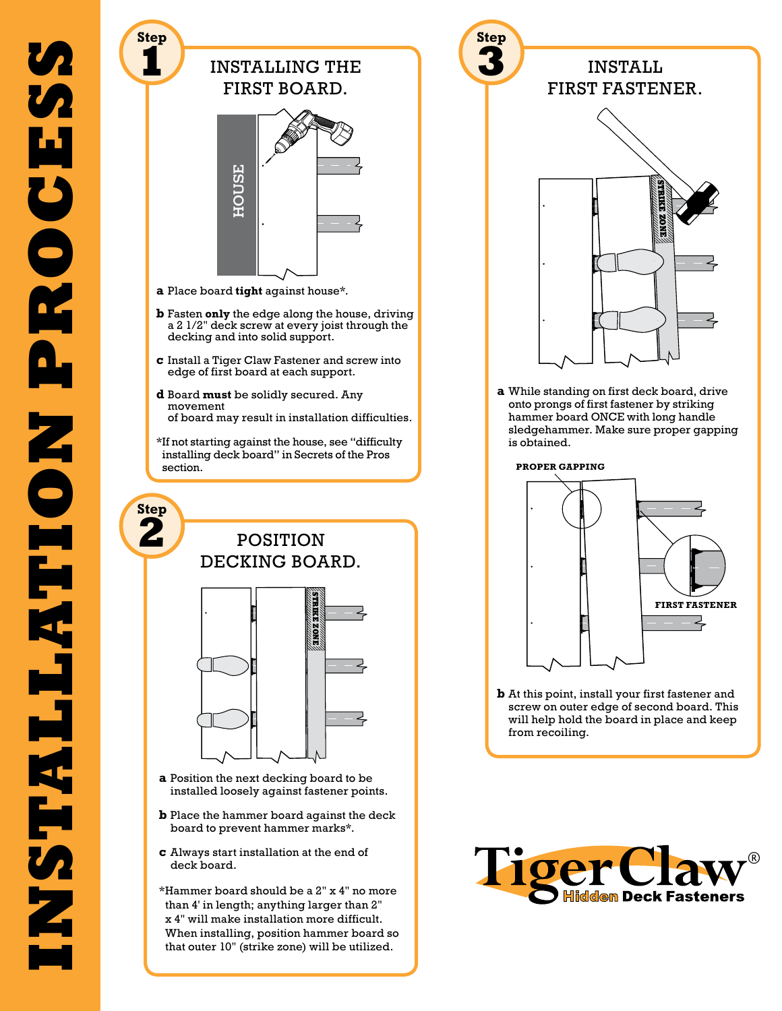

- **c** Always start installation at the end of deck board.
- \*Hammer board should be a 2" x 4" no more than 4' in length; anything larger than 2" x 4" will make installation more difficult. When installing, position hammer board so that outer 10" (strike zone) will be utilized.



**b** At this point, install your first fastener and screw on outer edge of second board. This will help hold the board in place and keep

from recoiling.